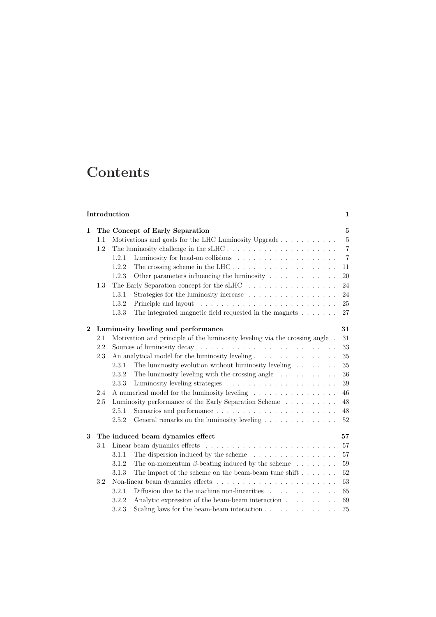## **Contents**

## **Introduction 1**

| $\mathbf{1}$ | The Concept of Early Separation |                                                 |                                                                                       |                |  |  |  |
|--------------|---------------------------------|-------------------------------------------------|---------------------------------------------------------------------------------------|----------------|--|--|--|
|              | 1.1                             |                                                 | Motivations and goals for the LHC Luminosity Upgrade                                  | 5              |  |  |  |
|              | 1.2                             |                                                 |                                                                                       | $\overline{7}$ |  |  |  |
|              |                                 | 1.2.1                                           |                                                                                       | $\overline{7}$ |  |  |  |
|              |                                 | 1.2.2                                           |                                                                                       | 11             |  |  |  |
|              |                                 | 1.2.3                                           | Other parameters influencing the luminosity                                           | 20             |  |  |  |
|              | 1.3                             |                                                 | The Early Separation concept for the sLHC $\ldots \ldots \ldots \ldots \ldots \ldots$ | 24             |  |  |  |
|              |                                 | 1.3.1                                           |                                                                                       | 24             |  |  |  |
|              |                                 | 1.3.2                                           |                                                                                       | 25             |  |  |  |
|              |                                 | 1.3.3                                           | The integrated magnetic field requested in the magnets $\dots \dots$                  | 27             |  |  |  |
| $\mathbf{2}$ |                                 |                                                 | Luminosity leveling and performance                                                   | 31             |  |  |  |
|              | 2.1                             |                                                 | Motivation and principle of the luminosity leveling via the crossing angle $\,$ .     | 31             |  |  |  |
|              | 2.2                             |                                                 |                                                                                       | 33             |  |  |  |
|              | 2.3                             | An analytical model for the luminosity leveling |                                                                                       |                |  |  |  |
|              |                                 | 2.3.1                                           | The luminosity evolution without luminosity leveling $\ldots \ldots$                  | 35             |  |  |  |
|              |                                 | 2.3.2                                           | The luminosity leveling with the crossing angle $\ldots \ldots \ldots$                | 36             |  |  |  |
|              |                                 | 2.3.3                                           |                                                                                       | 39             |  |  |  |
|              | 2.4                             |                                                 | A numerical model for the luminosity leveling                                         | 46             |  |  |  |
|              | 2.5                             |                                                 | Luminosity performance of the Early Separation Scheme                                 | 48             |  |  |  |
|              |                                 | 2.5.1                                           |                                                                                       | 48             |  |  |  |
|              |                                 | 2.5.2                                           | General remarks on the luminosity leveling                                            | 52             |  |  |  |
| 3            |                                 |                                                 | The induced beam dynamics effect                                                      | 57             |  |  |  |
|              | 3.1                             |                                                 |                                                                                       | 57             |  |  |  |
|              |                                 | 3.1.1                                           | The dispersion induced by the scheme $\ldots \ldots \ldots \ldots \ldots$             | 57             |  |  |  |
|              |                                 | 3.1.2                                           | The on-momentum $\beta$ -beating induced by the scheme $\ldots \ldots$                | 59             |  |  |  |
|              |                                 | 3.1.3                                           | The impact of the scheme on the beam-beam tune shift<br>$.\,.\,.\,.\,.\,.\,.\,.\,$    | 62             |  |  |  |
|              | 3.2                             |                                                 |                                                                                       | 63             |  |  |  |
|              |                                 | 3.2.1                                           | Diffusion due to the machine non-linearities $\ldots \ldots \ldots \ldots$            | 65             |  |  |  |
|              |                                 | 3.2.2                                           | Analytic expression of the beam-beam interaction                                      | 69             |  |  |  |
|              |                                 | 3.2.3                                           | Scaling laws for the beam-beam interaction $\ldots \ldots \ldots \ldots \ldots$       | 75             |  |  |  |